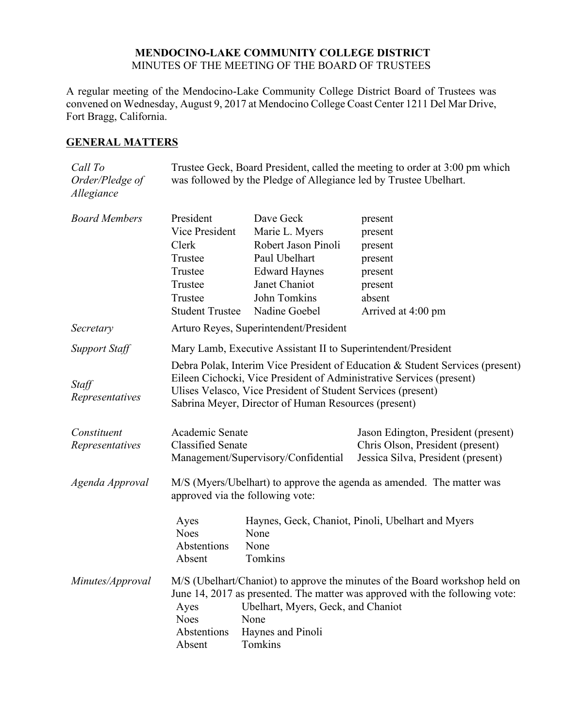## **MENDOCINO-LAKE COMMUNITY COLLEGE DISTRICT** MINUTES OF THE MEETING OF THE BOARD OF TRUSTEES

A regular meeting of the Mendocino-Lake Community College District Board of Trustees was convened on Wednesday, August 9, 2017 at Mendocino College Coast Center 1211 Del Mar Drive, Fort Bragg, California.

# **GENERAL MATTERS**

| Call To<br>Order/Pledge of<br>Allegiance         | Trustee Geck, Board President, called the meeting to order at 3:00 pm which<br>was followed by the Pledge of Allegiance led by Trustee Ubelhart.                                                                                                                                                                                               |                                                                                                                                               |                                                                                                               |  |
|--------------------------------------------------|------------------------------------------------------------------------------------------------------------------------------------------------------------------------------------------------------------------------------------------------------------------------------------------------------------------------------------------------|-----------------------------------------------------------------------------------------------------------------------------------------------|---------------------------------------------------------------------------------------------------------------|--|
| <b>Board Members</b>                             | President<br>Vice President<br>Clerk<br>Trustee<br>Trustee<br>Trustee<br>Trustee<br><b>Student Trustee</b>                                                                                                                                                                                                                                     | Dave Geck<br>Marie L. Myers<br>Robert Jason Pinoli<br>Paul Ubelhart<br><b>Edward Haynes</b><br>Janet Chaniot<br>John Tomkins<br>Nadine Goebel | present<br>present<br>present<br>present<br>present<br>present<br>absent<br>Arrived at 4:00 pm                |  |
| Secretary                                        | Arturo Reyes, Superintendent/President                                                                                                                                                                                                                                                                                                         |                                                                                                                                               |                                                                                                               |  |
| <b>Support Staff</b><br>Staff<br>Representatives | Mary Lamb, Executive Assistant II to Superintendent/President<br>Debra Polak, Interim Vice President of Education & Student Services (present)<br>Eileen Cichocki, Vice President of Administrative Services (present)<br>Ulises Velasco, Vice President of Student Services (present)<br>Sabrina Meyer, Director of Human Resources (present) |                                                                                                                                               |                                                                                                               |  |
| Constituent<br>Representatives                   | Academic Senate<br><b>Classified Senate</b><br>Management/Supervisory/Confidential                                                                                                                                                                                                                                                             |                                                                                                                                               | Jason Edington, President (present)<br>Chris Olson, President (present)<br>Jessica Silva, President (present) |  |
| Agenda Approval                                  | M/S (Myers/Ubelhart) to approve the agenda as amended. The matter was<br>approved via the following vote:                                                                                                                                                                                                                                      |                                                                                                                                               |                                                                                                               |  |
|                                                  | Ayes<br><b>Noes</b><br>Abstentions<br>Absent                                                                                                                                                                                                                                                                                                   | None<br>None<br>Tomkins                                                                                                                       | Haynes, Geck, Chaniot, Pinoli, Ubelhart and Myers                                                             |  |
| Minutes/Approval                                 | M/S (Ubelhart/Chaniot) to approve the minutes of the Board workshop held on<br>June 14, 2017 as presented. The matter was approved with the following vote:<br>Ubelhart, Myers, Geck, and Chaniot<br>Ayes<br><b>Noes</b><br>None<br>Haynes and Pinoli<br>Abstentions<br>Tomkins<br>Absent                                                      |                                                                                                                                               |                                                                                                               |  |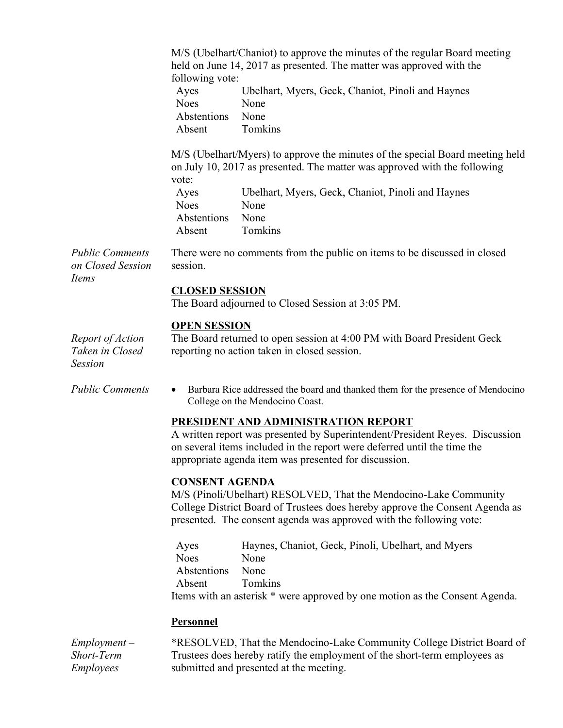M/S (Ubelhart/Chaniot) to approve the minutes of the regular Board meeting held on June 14, 2017 as presented. The matter was approved with the following vote: Ayes Ubelhart, Myers, Geck, Chaniot, Pinoli and Haynes Noes None Abstentions None Absent Tomkins M/S (Ubelhart/Myers) to approve the minutes of the special Board meeting held on July 10, 2017 as presented. The matter was approved with the following vote: Ayes Ubelhart, Myers, Geck, Chaniot, Pinoli and Haynes Noes None Abstentions None Absent Tomkins *Public Comments on Closed Session Items* There were no comments from the public on items to be discussed in closed session. **CLOSED SESSION** The Board adjourned to Closed Session at 3:05 PM. **OPEN SESSION** *Report of Action Taken in Closed Session* The Board returned to open session at 4:00 PM with Board President Geck reporting no action taken in closed session. *Public Comments* • Barbara Rice addressed the board and thanked them for the presence of Mendocino College on the Mendocino Coast. **PRESIDENT AND ADMINISTRATION REPORT** A written report was presented by Superintendent/President Reyes. Discussion on several items included in the report were deferred until the time the appropriate agenda item was presented for discussion. **CONSENT AGENDA** M/S (Pinoli/Ubelhart) RESOLVED, That the Mendocino-Lake Community College District Board of Trustees does hereby approve the Consent Agenda as presented. The consent agenda was approved with the following vote: Ayes Haynes, Chaniot, Geck, Pinoli, Ubelhart, and Myers Noes None Abstentions None Absent Tomkins Items with an asterisk \* were approved by one motion as the Consent Agenda.

## **Personnel**

*Employment – Short-Term Employees* \*RESOLVED, That the Mendocino-Lake Community College District Board of Trustees does hereby ratify the employment of the short-term employees as submitted and presented at the meeting.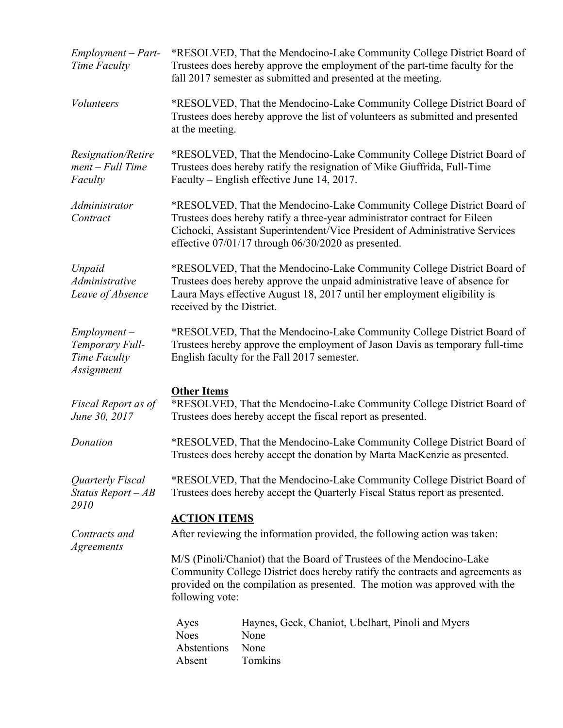| $Employment - Part-$<br>Time Faculty                            | *RESOLVED, That the Mendocino-Lake Community College District Board of<br>Trustees does hereby approve the employment of the part-time faculty for the<br>fall 2017 semester as submitted and presented at the meeting.                                                                         |                                                                              |  |
|-----------------------------------------------------------------|-------------------------------------------------------------------------------------------------------------------------------------------------------------------------------------------------------------------------------------------------------------------------------------------------|------------------------------------------------------------------------------|--|
| <b>Volunteers</b>                                               | *RESOLVED, That the Mendocino-Lake Community College District Board of<br>Trustees does hereby approve the list of volunteers as submitted and presented<br>at the meeting.                                                                                                                     |                                                                              |  |
| Resignation/Retire<br>$ment$ - Full Time<br>Faculty             | *RESOLVED, That the Mendocino-Lake Community College District Board of<br>Trustees does hereby ratify the resignation of Mike Giuffrida, Full-Time<br>Faculty – English effective June 14, 2017.                                                                                                |                                                                              |  |
| Administrator<br>Contract                                       | *RESOLVED, That the Mendocino-Lake Community College District Board of<br>Trustees does hereby ratify a three-year administrator contract for Eileen<br>Cichocki, Assistant Superintendent/Vice President of Administrative Services<br>effective $07/01/17$ through $06/30/2020$ as presented. |                                                                              |  |
| Unpaid<br>Administrative<br>Leave of Absence                    | *RESOLVED, That the Mendocino-Lake Community College District Board of<br>Trustees does hereby approve the unpaid administrative leave of absence for<br>Laura Mays effective August 18, 2017 until her employment eligibility is<br>received by the District.                                  |                                                                              |  |
| $Employment -$<br>Temporary Full-<br>Time Faculty<br>Assignment | *RESOLVED, That the Mendocino-Lake Community College District Board of<br>Trustees hereby approve the employment of Jason Davis as temporary full-time<br>English faculty for the Fall 2017 semester.                                                                                           |                                                                              |  |
| Fiscal Report as of<br>June 30, 2017                            | <b>Other Items</b><br>*RESOLVED, That the Mendocino-Lake Community College District Board of<br>Trustees does hereby accept the fiscal report as presented.                                                                                                                                     |                                                                              |  |
| Donation                                                        | *RESOLVED, That the Mendocino-Lake Community College District Board of<br>Trustees does hereby accept the donation by Marta MacKenzie as presented.                                                                                                                                             |                                                                              |  |
| Quarterly Fiscal<br>Status Report $-AB$<br>2910                 | *RESOLVED, That the Mendocino-Lake Community College District Board of<br>Trustees does hereby accept the Quarterly Fiscal Status report as presented.                                                                                                                                          |                                                                              |  |
| Contracts and                                                   | <b>ACTION ITEMS</b><br>After reviewing the information provided, the following action was taken:                                                                                                                                                                                                |                                                                              |  |
| <i>Agreements</i>                                               | M/S (Pinoli/Chaniot) that the Board of Trustees of the Mendocino-Lake<br>Community College District does hereby ratify the contracts and agreements as<br>provided on the compilation as presented. The motion was approved with the<br>following vote:                                         |                                                                              |  |
|                                                                 | Ayes<br><b>Noes</b><br>Abstentions<br>Absent                                                                                                                                                                                                                                                    | Haynes, Geck, Chaniot, Ubelhart, Pinoli and Myers<br>None<br>None<br>Tomkins |  |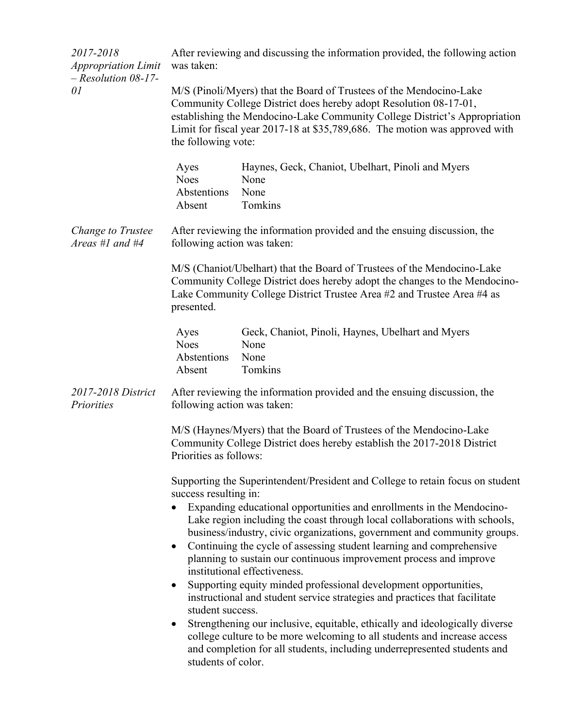| 2017-2018<br><b>Appropriation Limit</b><br>$-$ Resolution 08-17-<br>0 <sup>I</sup> | After reviewing and discussing the information provided, the following action<br>was taken:                                                                                                                                                                                                                                                                                                                                                                                                                                                                                                                                                                                                                                                                                                                                                                                                                                                                 |  |  |
|------------------------------------------------------------------------------------|-------------------------------------------------------------------------------------------------------------------------------------------------------------------------------------------------------------------------------------------------------------------------------------------------------------------------------------------------------------------------------------------------------------------------------------------------------------------------------------------------------------------------------------------------------------------------------------------------------------------------------------------------------------------------------------------------------------------------------------------------------------------------------------------------------------------------------------------------------------------------------------------------------------------------------------------------------------|--|--|
|                                                                                    | M/S (Pinoli/Myers) that the Board of Trustees of the Mendocino-Lake<br>Community College District does hereby adopt Resolution 08-17-01,<br>establishing the Mendocino-Lake Community College District's Appropriation<br>Limit for fiscal year 2017-18 at \$35,789,686. The motion was approved with<br>the following vote:                                                                                                                                                                                                                                                                                                                                                                                                                                                                                                                                                                                                                                |  |  |
|                                                                                    | Haynes, Geck, Chaniot, Ubelhart, Pinoli and Myers<br>Ayes<br><b>Noes</b><br>None<br>None<br>Abstentions<br>Tomkins<br>Absent                                                                                                                                                                                                                                                                                                                                                                                                                                                                                                                                                                                                                                                                                                                                                                                                                                |  |  |
| Change to Trustee<br>Areas #1 and #4                                               | After reviewing the information provided and the ensuing discussion, the<br>following action was taken:                                                                                                                                                                                                                                                                                                                                                                                                                                                                                                                                                                                                                                                                                                                                                                                                                                                     |  |  |
|                                                                                    | M/S (Chaniot/Ubelhart) that the Board of Trustees of the Mendocino-Lake<br>Community College District does hereby adopt the changes to the Mendocino-<br>Lake Community College District Trustee Area #2 and Trustee Area #4 as<br>presented.                                                                                                                                                                                                                                                                                                                                                                                                                                                                                                                                                                                                                                                                                                               |  |  |
|                                                                                    | Geck, Chaniot, Pinoli, Haynes, Ubelhart and Myers<br>Ayes<br><b>Noes</b><br>None<br>Abstentions<br>None<br>Tomkins<br>Absent                                                                                                                                                                                                                                                                                                                                                                                                                                                                                                                                                                                                                                                                                                                                                                                                                                |  |  |
| 2017-2018 District<br>Priorities                                                   | After reviewing the information provided and the ensuing discussion, the<br>following action was taken:                                                                                                                                                                                                                                                                                                                                                                                                                                                                                                                                                                                                                                                                                                                                                                                                                                                     |  |  |
|                                                                                    | M/S (Haynes/Myers) that the Board of Trustees of the Mendocino-Lake<br>Community College District does hereby establish the 2017-2018 District<br>Priorities as follows:                                                                                                                                                                                                                                                                                                                                                                                                                                                                                                                                                                                                                                                                                                                                                                                    |  |  |
|                                                                                    | Supporting the Superintendent/President and College to retain focus on student<br>success resulting in:<br>Expanding educational opportunities and enrollments in the Mendocino-<br>Lake region including the coast through local collaborations with schools,<br>business/industry, civic organizations, government and community groups.<br>Continuing the cycle of assessing student learning and comprehensive<br>planning to sustain our continuous improvement process and improve<br>institutional effectiveness.<br>Supporting equity minded professional development opportunities,<br>instructional and student service strategies and practices that facilitate<br>student success.<br>Strengthening our inclusive, equitable, ethically and ideologically diverse<br>college culture to be more welcoming to all students and increase access<br>and completion for all students, including underrepresented students and<br>students of color. |  |  |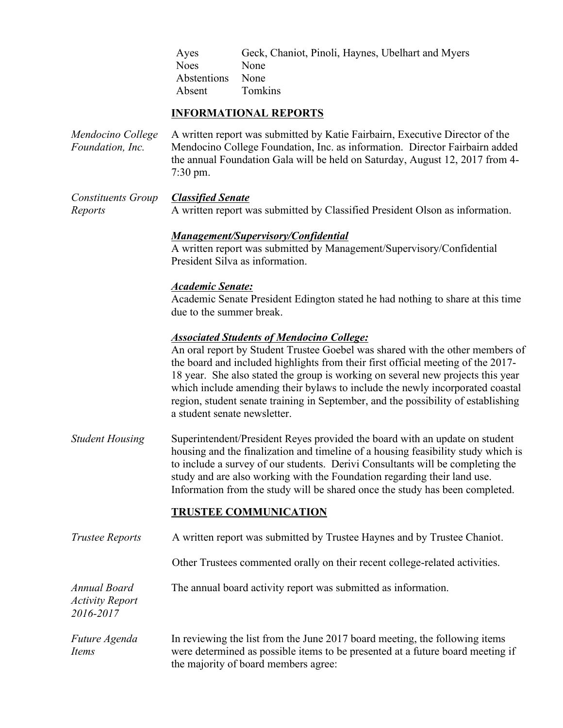| Ayes             | Geck, Chaniot, Pinoli, Haynes, Ubelhart and Myers |
|------------------|---------------------------------------------------|
| <b>Noes</b>      | None                                              |
| Abstentions None |                                                   |
| Absent           | <b>Tomkins</b>                                    |

## **INFORMATIONAL REPORTS**

| Mendocino College       | A written report was submitted by Katie Fairbairn, Executive Director of the                       |
|-------------------------|----------------------------------------------------------------------------------------------------|
| <i>Foundation, Inc.</i> | Mendocino College Foundation, Inc. as information. Director Fairbairn added                        |
|                         | the annual Foundation Gala will be held on Saturday, August 12, 2017 from 4-<br>$7:30 \text{ pm}.$ |

*Constituents Group Reports Classified Senate* A written report was submitted by Classified President Olson as information.

#### *Management/Supervisory/Confidential*

A written report was submitted by Management/Supervisory/Confidential President Silva as information.

### *Academic Senate:*

Academic Senate President Edington stated he had nothing to share at this time due to the summer break.

### *Associated Students of Mendocino College:*

An oral report by Student Trustee Goebel was shared with the other members of the board and included highlights from their first official meeting of the 2017- 18 year. She also stated the group is working on several new projects this year which include amending their bylaws to include the newly incorporated coastal region, student senate training in September, and the possibility of establishing a student senate newsletter.

*Student Housing* Superintendent/President Reyes provided the board with an update on student housing and the finalization and timeline of a housing feasibility study which is to include a survey of our students. Derivi Consultants will be completing the study and are also working with the Foundation regarding their land use. Information from the study will be shared once the study has been completed.

### **TRUSTEE COMMUNICATION**

*Trustee Reports* A written report was submitted by Trustee Haynes and by Trustee Chaniot.

Other Trustees commented orally on their recent college-related activities.

*Annual Board*  The annual board activity report was submitted as information.

*Activity Report 2016-2017* 

*Future Agenda Items* In reviewing the list from the June 2017 board meeting, the following items were determined as possible items to be presented at a future board meeting if the majority of board members agree: